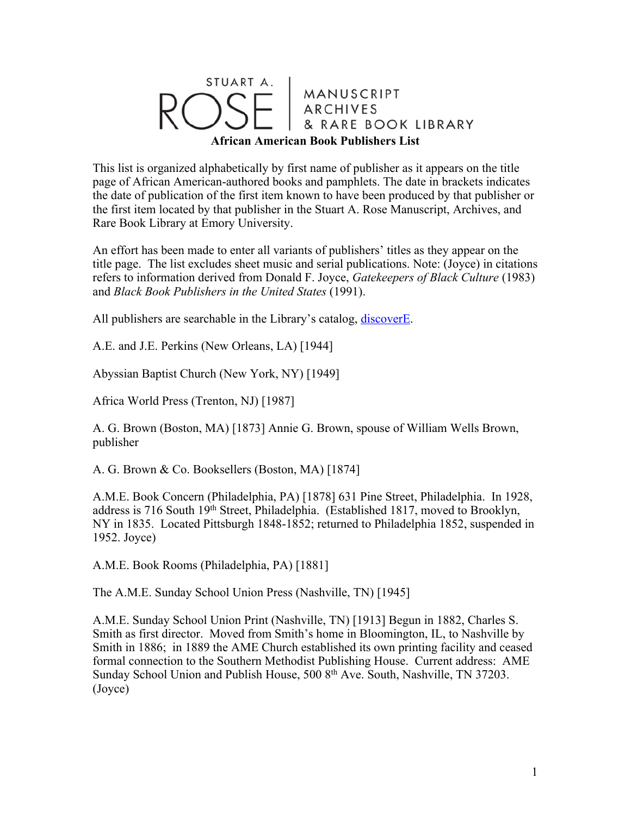## STUART A. MANUSCRIPT<br>ARCHIVES RARE BOOK LIBRARY **African American Book Publishers List**

This list is organized alphabetically by first name of publisher as it appears on the title page of African American-authored books and pamphlets. The date in brackets indicates the date of publication of the first item known to have been produced by that publisher or the first item located by that publisher in the Stuart A. Rose Manuscript, Archives, and Rare Book Library at Emory University.

An effort has been made to enter all variants of publishers' titles as they appear on the title page. The list excludes sheet music and serial publications. Note: (Joyce) in citations refers to information derived from Donald F. Joyce, *Gatekeepers of Black Culture* (1983) and *Black Book Publishers in the United States* (1991).

All publishers are searchable in the Library's catalog, discoverE.

A.E. and J.E. Perkins (New Orleans, LA) [1944]

Abyssian Baptist Church (New York, NY) [1949]

Africa World Press (Trenton, NJ) [1987]

A. G. Brown (Boston, MA) [1873] Annie G. Brown, spouse of William Wells Brown, publisher

A. G. Brown & Co. Booksellers (Boston, MA) [1874]

A.M.E. Book Concern (Philadelphia, PA) [1878] 631 Pine Street, Philadelphia. In 1928, address is 716 South 19<sup>th</sup> Street, Philadelphia. (Established 1817, moved to Brooklyn, NY in 1835. Located Pittsburgh 1848-1852; returned to Philadelphia 1852, suspended in 1952. Joyce)

A.M.E. Book Rooms (Philadelphia, PA) [1881]

The A.M.E. Sunday School Union Press (Nashville, TN) [1945]

A.M.E. Sunday School Union Print (Nashville, TN) [1913] Begun in 1882, Charles S. Smith as first director. Moved from Smith's home in Bloomington, IL, to Nashville by Smith in 1886; in 1889 the AME Church established its own printing facility and ceased formal connection to the Southern Methodist Publishing House. Current address: AME Sunday School Union and Publish House, 500 8<sup>th</sup> Ave. South, Nashville, TN 37203. (Joyce)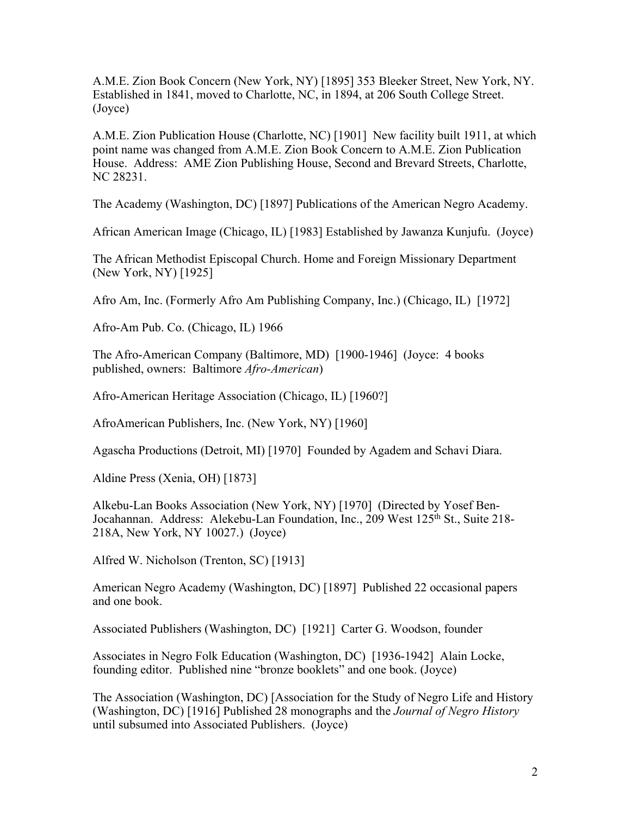A.M.E. Zion Book Concern (New York, NY) [1895] 353 Bleeker Street, New York, NY. Established in 1841, moved to Charlotte, NC, in 1894, at 206 South College Street. (Joyce)

A.M.E. Zion Publication House (Charlotte, NC) [1901] New facility built 1911, at which point name was changed from A.M.E. Zion Book Concern to A.M.E. Zion Publication House. Address: AME Zion Publishing House, Second and Brevard Streets, Charlotte, NC 28231.

The Academy (Washington, DC) [1897] Publications of the American Negro Academy.

African American Image (Chicago, IL) [1983] Established by Jawanza Kunjufu. (Joyce)

The African Methodist Episcopal Church. Home and Foreign Missionary Department (New York, NY) [1925]

Afro Am, Inc. (Formerly Afro Am Publishing Company, Inc.) (Chicago, IL) [1972]

Afro-Am Pub. Co. (Chicago, IL) 1966

The Afro-American Company (Baltimore, MD) [1900-1946] (Joyce: 4 books published, owners: Baltimore *Afro-American*)

Afro-American Heritage Association (Chicago, IL) [1960?]

AfroAmerican Publishers, Inc. (New York, NY) [1960]

Agascha Productions (Detroit, MI) [1970] Founded by Agadem and Schavi Diara.

Aldine Press (Xenia, OH) [1873]

Alkebu-Lan Books Association (New York, NY) [1970] (Directed by Yosef Ben-Jocahannan. Address: Alekebu-Lan Foundation, Inc., 209 West 125<sup>th</sup> St., Suite 218-218A, New York, NY 10027.) (Joyce)

Alfred W. Nicholson (Trenton, SC) [1913]

American Negro Academy (Washington, DC) [1897] Published 22 occasional papers and one book.

Associated Publishers (Washington, DC) [1921] Carter G. Woodson, founder

Associates in Negro Folk Education (Washington, DC) [1936-1942] Alain Locke, founding editor. Published nine "bronze booklets" and one book. (Joyce)

The Association (Washington, DC) [Association for the Study of Negro Life and History (Washington, DC) [1916] Published 28 monographs and the *Journal of Negro History* until subsumed into Associated Publishers. (Joyce)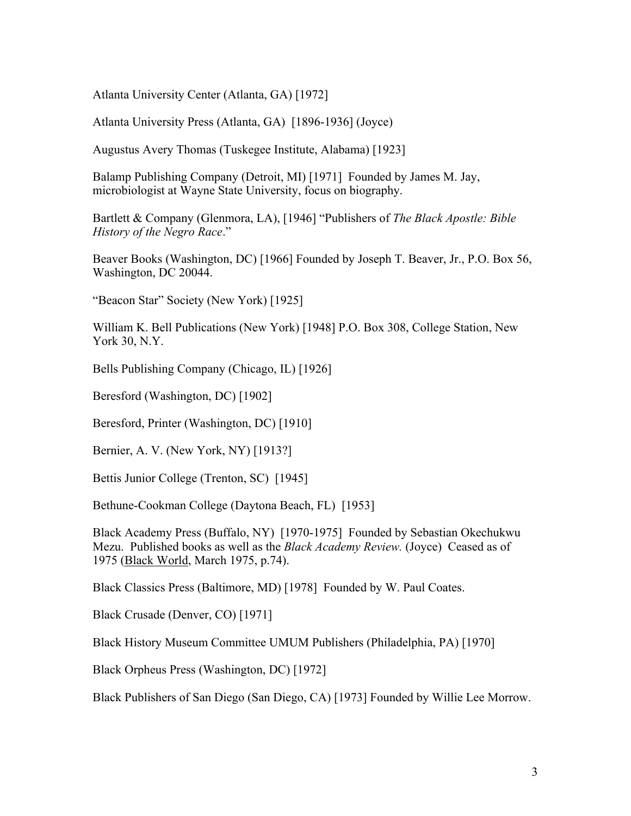Atlanta University Center (Atlanta, GA) [1972]

Atlanta University Press (Atlanta, GA) [1896-1936] (Joyce)

Augustus Avery Thomas (Tuskegee Institute, Alabama) [1923]

Balamp Publishing Company (Detroit, MI) [1971] Founded by James M. Jay, microbiologist at Wayne State University, focus on biography.

Bartlett & Company (Glenmora, LA), [1946] "Publishers of *The Black Apostle: Bible History of the Negro Race*."

Beaver Books (Washington, DC) [1966] Founded by Joseph T. Beaver, Jr., P.O. Box 56, Washington, DC 20044.

"Beacon Star" Society (New York) [1925]

William K. Bell Publications (New York) [1948] P.O. Box 308, College Station, New York 30, N.Y.

Bells Publishing Company (Chicago, IL) [1926]

Beresford (Washington, DC) [1902]

Beresford, Printer (Washington, DC) [1910]

Bernier, A. V. (New York, NY) [1913?]

Bettis Junior College (Trenton, SC) [1945]

Bethune-Cookman College (Daytona Beach, FL) [1953]

Black Academy Press (Buffalo, NY) [1970-1975] Founded by Sebastian Okechukwu Mezu. Published books as well as the *Black Academy Review.* (Joyce) Ceased as of 1975 (Black World, March 1975, p.74).

Black Classics Press (Baltimore, MD) [1978] Founded by W. Paul Coates.

Black Crusade (Denver, CO) [1971]

Black History Museum Committee UMUM Publishers (Philadelphia, PA) [1970]

Black Orpheus Press (Washington, DC) [1972]

Black Publishers of San Diego (San Diego, CA) [1973] Founded by Willie Lee Morrow.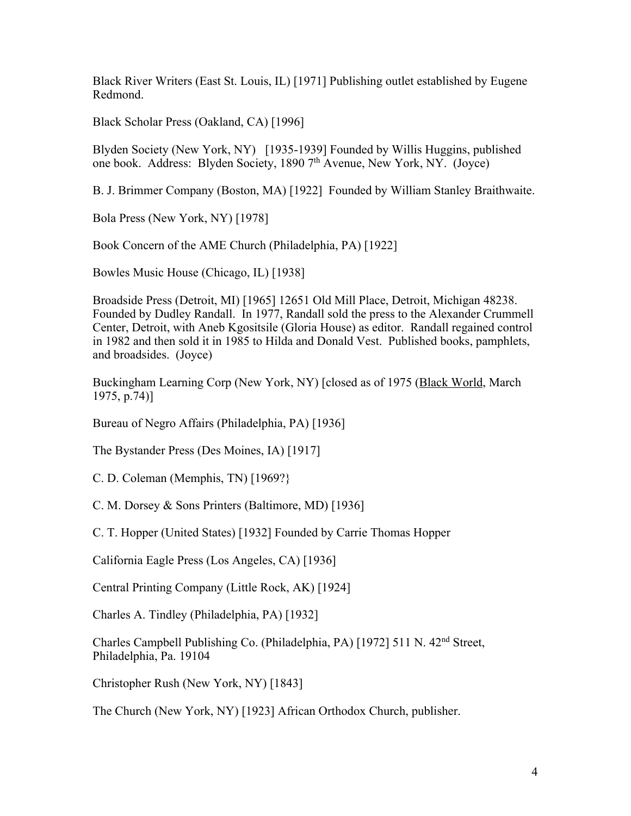Black River Writers (East St. Louis, IL) [1971] Publishing outlet established by Eugene Redmond.

Black Scholar Press (Oakland, CA) [1996]

Blyden Society (New York, NY) [1935-1939] Founded by Willis Huggins, published one book. Address: Blyden Society, 1890 7th Avenue, New York, NY. (Joyce)

B. J. Brimmer Company (Boston, MA) [1922] Founded by William Stanley Braithwaite.

Bola Press (New York, NY) [1978]

Book Concern of the AME Church (Philadelphia, PA) [1922]

Bowles Music House (Chicago, IL) [1938]

Broadside Press (Detroit, MI) [1965] 12651 Old Mill Place, Detroit, Michigan 48238. Founded by Dudley Randall. In 1977, Randall sold the press to the Alexander Crummell Center, Detroit, with Aneb Kgositsile (Gloria House) as editor. Randall regained control in 1982 and then sold it in 1985 to Hilda and Donald Vest. Published books, pamphlets, and broadsides. (Joyce)

Buckingham Learning Corp (New York, NY) [closed as of 1975 (Black World, March 1975, p.74)]

Bureau of Negro Affairs (Philadelphia, PA) [1936]

The Bystander Press (Des Moines, IA) [1917]

C. D. Coleman (Memphis, TN) [1969?}

C. M. Dorsey & Sons Printers (Baltimore, MD) [1936]

C. T. Hopper (United States) [1932] Founded by Carrie Thomas Hopper

California Eagle Press (Los Angeles, CA) [1936]

Central Printing Company (Little Rock, AK) [1924]

Charles A. Tindley (Philadelphia, PA) [1932]

Charles Campbell Publishing Co. (Philadelphia, PA) [1972] 511 N. 42nd Street, Philadelphia, Pa. 19104

Christopher Rush (New York, NY) [1843]

The Church (New York, NY) [1923] African Orthodox Church, publisher.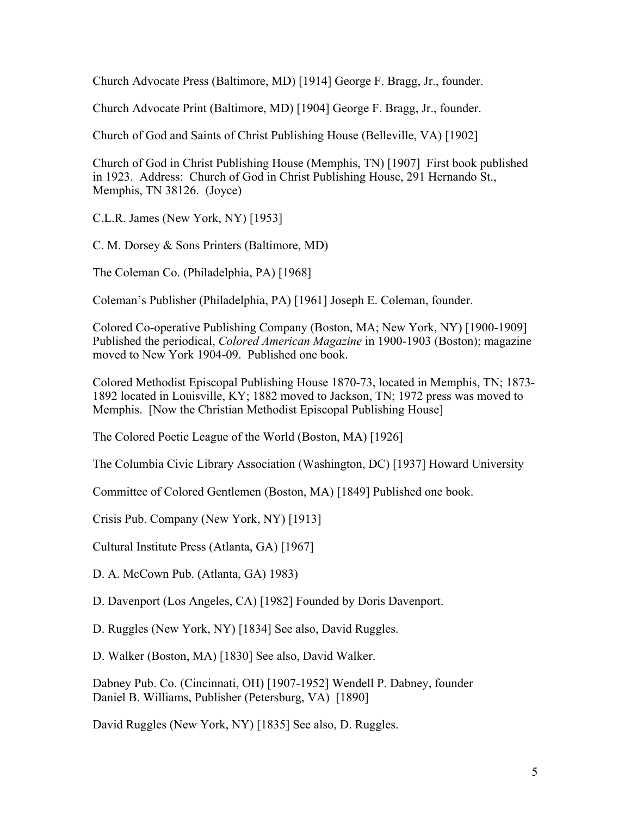Church Advocate Press (Baltimore, MD) [1914] George F. Bragg, Jr., founder.

Church Advocate Print (Baltimore, MD) [1904] George F. Bragg, Jr., founder.

Church of God and Saints of Christ Publishing House (Belleville, VA) [1902]

Church of God in Christ Publishing House (Memphis, TN) [1907] First book published in 1923. Address: Church of God in Christ Publishing House, 291 Hernando St., Memphis, TN 38126. (Joyce)

C.L.R. James (New York, NY) [1953]

C. M. Dorsey & Sons Printers (Baltimore, MD)

The Coleman Co. (Philadelphia, PA) [1968]

Coleman's Publisher (Philadelphia, PA) [1961] Joseph E. Coleman, founder.

Colored Co-operative Publishing Company (Boston, MA; New York, NY) [1900-1909] Published the periodical, *Colored American Magazine* in 1900-1903 (Boston); magazine moved to New York 1904-09. Published one book.

Colored Methodist Episcopal Publishing House 1870-73, located in Memphis, TN; 1873- 1892 located in Louisville, KY; 1882 moved to Jackson, TN; 1972 press was moved to Memphis. [Now the Christian Methodist Episcopal Publishing House]

The Colored Poetic League of the World (Boston, MA) [1926]

The Columbia Civic Library Association (Washington, DC) [1937] Howard University

Committee of Colored Gentlemen (Boston, MA) [1849] Published one book.

Crisis Pub. Company (New York, NY) [1913]

Cultural Institute Press (Atlanta, GA) [1967]

D. A. McCown Pub. (Atlanta, GA) 1983)

D. Davenport (Los Angeles, CA) [1982] Founded by Doris Davenport.

D. Ruggles (New York, NY) [1834] See also, David Ruggles.

D. Walker (Boston, MA) [1830] See also, David Walker.

Dabney Pub. Co. (Cincinnati, OH) [1907-1952] Wendell P. Dabney, founder Daniel B. Williams, Publisher (Petersburg, VA) [1890]

David Ruggles (New York, NY) [1835] See also, D. Ruggles.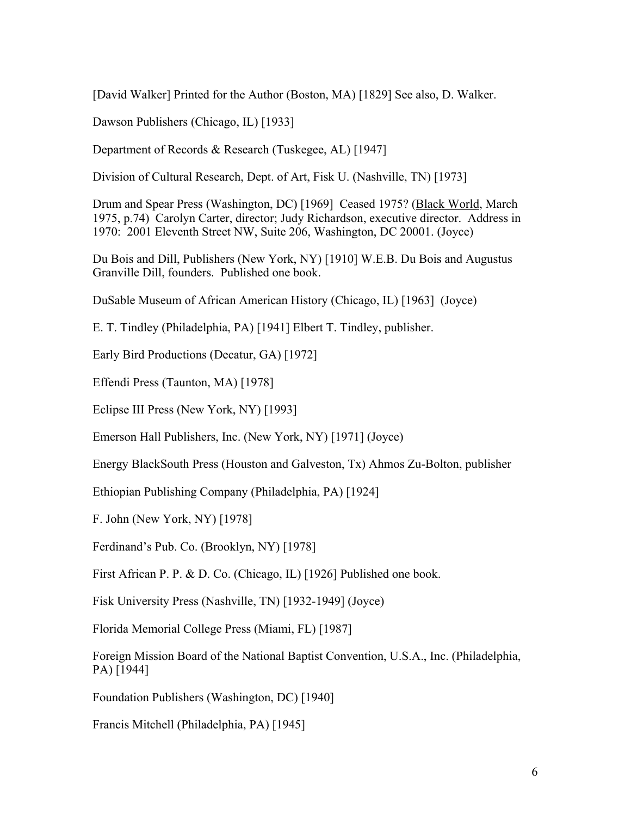[David Walker] Printed for the Author (Boston, MA) [1829] See also, D. Walker.

Dawson Publishers (Chicago, IL) [1933]

Department of Records & Research (Tuskegee, AL) [1947]

Division of Cultural Research, Dept. of Art, Fisk U. (Nashville, TN) [1973]

Drum and Spear Press (Washington, DC) [1969] Ceased 1975? (Black World, March 1975, p.74) Carolyn Carter, director; Judy Richardson, executive director. Address in 1970: 2001 Eleventh Street NW, Suite 206, Washington, DC 20001. (Joyce)

Du Bois and Dill, Publishers (New York, NY) [1910] W.E.B. Du Bois and Augustus Granville Dill, founders. Published one book.

DuSable Museum of African American History (Chicago, IL) [1963] (Joyce)

E. T. Tindley (Philadelphia, PA) [1941] Elbert T. Tindley, publisher.

Early Bird Productions (Decatur, GA) [1972]

Effendi Press (Taunton, MA) [1978]

Eclipse III Press (New York, NY) [1993]

Emerson Hall Publishers, Inc. (New York, NY) [1971] (Joyce)

Energy BlackSouth Press (Houston and Galveston, Tx) Ahmos Zu-Bolton, publisher

Ethiopian Publishing Company (Philadelphia, PA) [1924]

F. John (New York, NY) [1978]

Ferdinand's Pub. Co. (Brooklyn, NY) [1978]

First African P. P. & D. Co. (Chicago, IL) [1926] Published one book.

Fisk University Press (Nashville, TN) [1932-1949] (Joyce)

Florida Memorial College Press (Miami, FL) [1987]

Foreign Mission Board of the National Baptist Convention, U.S.A., Inc. (Philadelphia, PA) [1944]

Foundation Publishers (Washington, DC) [1940]

Francis Mitchell (Philadelphia, PA) [1945]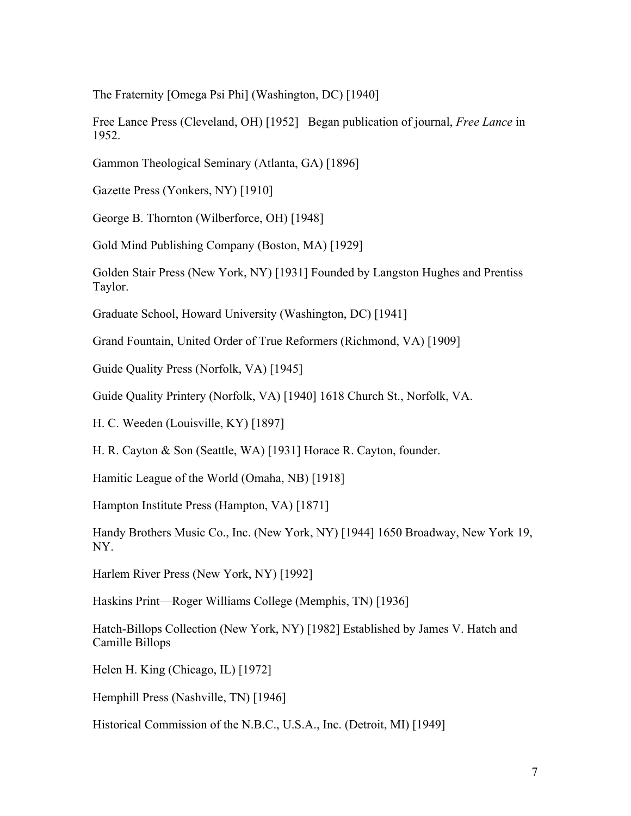The Fraternity [Omega Psi Phi] (Washington, DC) [1940]

Free Lance Press (Cleveland, OH) [1952] Began publication of journal, *Free Lance* in 1952.

Gammon Theological Seminary (Atlanta, GA) [1896]

Gazette Press (Yonkers, NY) [1910]

George B. Thornton (Wilberforce, OH) [1948]

Gold Mind Publishing Company (Boston, MA) [1929]

Golden Stair Press (New York, NY) [1931] Founded by Langston Hughes and Prentiss Taylor.

Graduate School, Howard University (Washington, DC) [1941]

Grand Fountain, United Order of True Reformers (Richmond, VA) [1909]

Guide Quality Press (Norfolk, VA) [1945]

Guide Quality Printery (Norfolk, VA) [1940] 1618 Church St., Norfolk, VA.

H. C. Weeden (Louisville, KY) [1897]

H. R. Cayton & Son (Seattle, WA) [1931] Horace R. Cayton, founder.

Hamitic League of the World (Omaha, NB) [1918]

Hampton Institute Press (Hampton, VA) [1871]

Handy Brothers Music Co., Inc. (New York, NY) [1944] 1650 Broadway, New York 19, NY.

Harlem River Press (New York, NY) [1992]

Haskins Print—Roger Williams College (Memphis, TN) [1936]

Hatch-Billops Collection (New York, NY) [1982] Established by James V. Hatch and Camille Billops

Helen H. King (Chicago, IL) [1972]

Hemphill Press (Nashville, TN) [1946]

Historical Commission of the N.B.C., U.S.A., Inc. (Detroit, MI) [1949]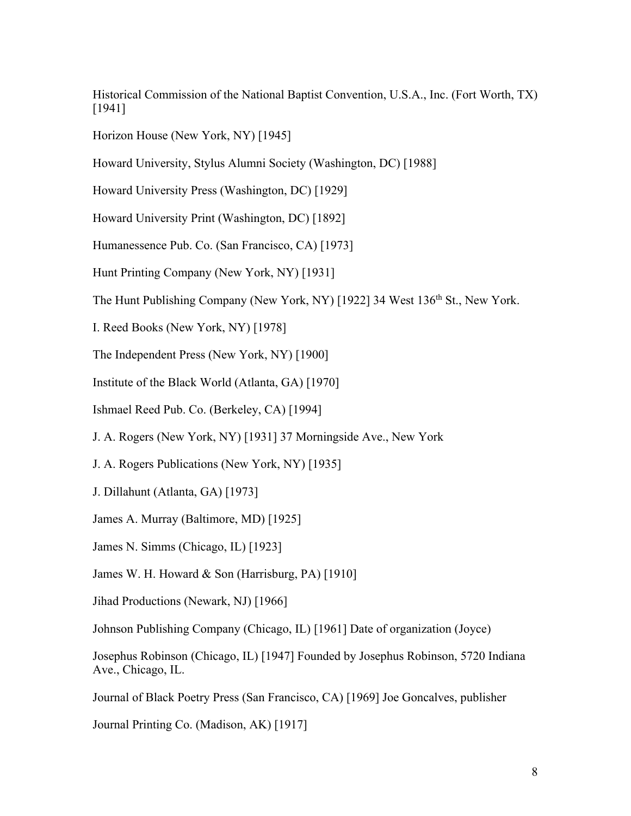Historical Commission of the National Baptist Convention, U.S.A., Inc. (Fort Worth, TX) [1941]

Horizon House (New York, NY) [1945]

Howard University, Stylus Alumni Society (Washington, DC) [1988]

Howard University Press (Washington, DC) [1929]

Howard University Print (Washington, DC) [1892]

Humanessence Pub. Co. (San Francisco, CA) [1973]

Hunt Printing Company (New York, NY) [1931]

The Hunt Publishing Company (New York, NY) [1922] 34 West 136<sup>th</sup> St., New York.

I. Reed Books (New York, NY) [1978]

The Independent Press (New York, NY) [1900]

Institute of the Black World (Atlanta, GA) [1970]

Ishmael Reed Pub. Co. (Berkeley, CA) [1994]

J. A. Rogers (New York, NY) [1931] 37 Morningside Ave., New York

J. A. Rogers Publications (New York, NY) [1935]

J. Dillahunt (Atlanta, GA) [1973]

James A. Murray (Baltimore, MD) [1925]

James N. Simms (Chicago, IL) [1923]

James W. H. Howard & Son (Harrisburg, PA) [1910]

Jihad Productions (Newark, NJ) [1966]

Johnson Publishing Company (Chicago, IL) [1961] Date of organization (Joyce)

Josephus Robinson (Chicago, IL) [1947] Founded by Josephus Robinson, 5720 Indiana Ave., Chicago, IL.

Journal of Black Poetry Press (San Francisco, CA) [1969] Joe Goncalves, publisher

Journal Printing Co. (Madison, AK) [1917]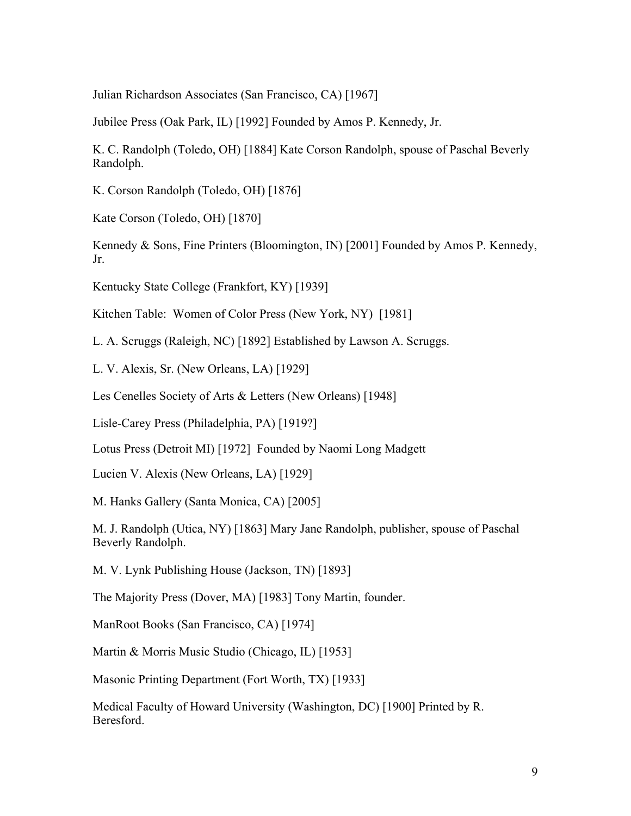Julian Richardson Associates (San Francisco, CA) [1967]

Jubilee Press (Oak Park, IL) [1992] Founded by Amos P. Kennedy, Jr.

K. C. Randolph (Toledo, OH) [1884] Kate Corson Randolph, spouse of Paschal Beverly Randolph.

K. Corson Randolph (Toledo, OH) [1876]

Kate Corson (Toledo, OH) [1870]

Kennedy & Sons, Fine Printers (Bloomington, IN) [2001] Founded by Amos P. Kennedy, Jr.

Kentucky State College (Frankfort, KY) [1939]

Kitchen Table: Women of Color Press (New York, NY) [1981]

L. A. Scruggs (Raleigh, NC) [1892] Established by Lawson A. Scruggs.

L. V. Alexis, Sr. (New Orleans, LA) [1929]

Les Cenelles Society of Arts & Letters (New Orleans) [1948]

Lisle-Carey Press (Philadelphia, PA) [1919?]

Lotus Press (Detroit MI) [1972] Founded by Naomi Long Madgett

Lucien V. Alexis (New Orleans, LA) [1929]

M. Hanks Gallery (Santa Monica, CA) [2005]

M. J. Randolph (Utica, NY) [1863] Mary Jane Randolph, publisher, spouse of Paschal Beverly Randolph.

M. V. Lynk Publishing House (Jackson, TN) [1893]

The Majority Press (Dover, MA) [1983] Tony Martin, founder.

ManRoot Books (San Francisco, CA) [1974]

Martin & Morris Music Studio (Chicago, IL) [1953]

Masonic Printing Department (Fort Worth, TX) [1933]

Medical Faculty of Howard University (Washington, DC) [1900] Printed by R. Beresford.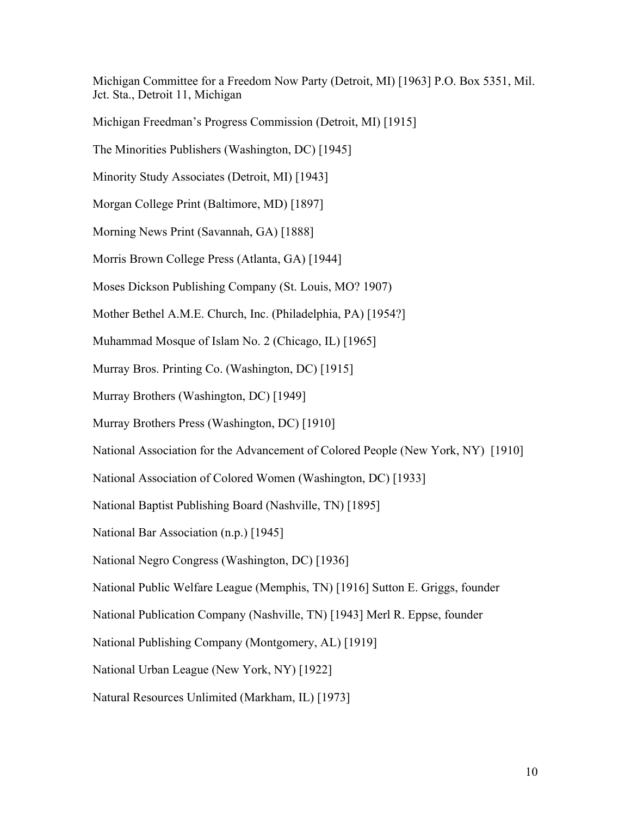Michigan Committee for a Freedom Now Party (Detroit, MI) [1963] P.O. Box 5351, Mil. Jct. Sta., Detroit 11, Michigan

Michigan Freedman's Progress Commission (Detroit, MI) [1915]

The Minorities Publishers (Washington, DC) [1945]

Minority Study Associates (Detroit, MI) [1943]

Morgan College Print (Baltimore, MD) [1897]

Morning News Print (Savannah, GA) [1888]

Morris Brown College Press (Atlanta, GA) [1944]

Moses Dickson Publishing Company (St. Louis, MO? 1907)

Mother Bethel A.M.E. Church, Inc. (Philadelphia, PA) [1954?]

Muhammad Mosque of Islam No. 2 (Chicago, IL) [1965]

Murray Bros. Printing Co. (Washington, DC) [1915]

Murray Brothers (Washington, DC) [1949]

Murray Brothers Press (Washington, DC) [1910]

National Association for the Advancement of Colored People (New York, NY) [1910]

National Association of Colored Women (Washington, DC) [1933]

National Baptist Publishing Board (Nashville, TN) [1895]

National Bar Association (n.p.) [1945]

National Negro Congress (Washington, DC) [1936]

National Public Welfare League (Memphis, TN) [1916] Sutton E. Griggs, founder

National Publication Company (Nashville, TN) [1943] Merl R. Eppse, founder

National Publishing Company (Montgomery, AL) [1919]

National Urban League (New York, NY) [1922]

Natural Resources Unlimited (Markham, IL) [1973]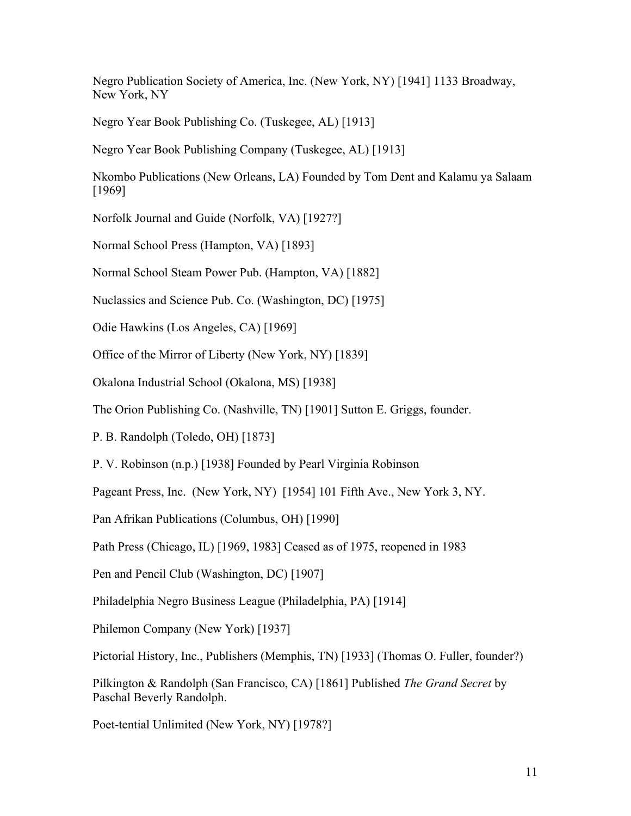Negro Publication Society of America, Inc. (New York, NY) [1941] 1133 Broadway, New York, NY

Negro Year Book Publishing Co. (Tuskegee, AL) [1913]

Negro Year Book Publishing Company (Tuskegee, AL) [1913]

Nkombo Publications (New Orleans, LA) Founded by Tom Dent and Kalamu ya Salaam [1969]

Norfolk Journal and Guide (Norfolk, VA) [1927?]

Normal School Press (Hampton, VA) [1893]

Normal School Steam Power Pub. (Hampton, VA) [1882]

Nuclassics and Science Pub. Co. (Washington, DC) [1975]

Odie Hawkins (Los Angeles, CA) [1969]

Office of the Mirror of Liberty (New York, NY) [1839]

Okalona Industrial School (Okalona, MS) [1938]

The Orion Publishing Co. (Nashville, TN) [1901] Sutton E. Griggs, founder.

P. B. Randolph (Toledo, OH) [1873]

P. V. Robinson (n.p.) [1938] Founded by Pearl Virginia Robinson

Pageant Press, Inc. (New York, NY) [1954] 101 Fifth Ave., New York 3, NY.

Pan Afrikan Publications (Columbus, OH) [1990]

Path Press (Chicago, IL) [1969, 1983] Ceased as of 1975, reopened in 1983

Pen and Pencil Club (Washington, DC) [1907]

Philadelphia Negro Business League (Philadelphia, PA) [1914]

Philemon Company (New York) [1937]

Pictorial History, Inc., Publishers (Memphis, TN) [1933] (Thomas O. Fuller, founder?)

Pilkington & Randolph (San Francisco, CA) [1861] Published *The Grand Secret* by Paschal Beverly Randolph.

Poet-tential Unlimited (New York, NY) [1978?]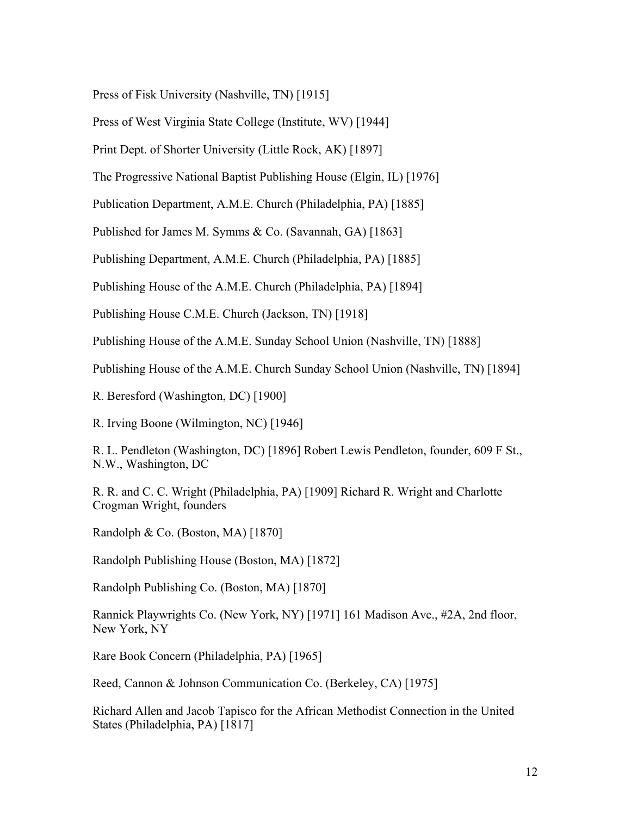Press of Fisk University (Nashville, TN) [1915]

Press of West Virginia State College (Institute, WV) [1944]

Print Dept. of Shorter University (Little Rock, AK) [1897]

The Progressive National Baptist Publishing House (Elgin, IL) [1976]

Publication Department, A.M.E. Church (Philadelphia, PA) [1885]

Published for James M. Symms & Co. (Savannah, GA) [1863]

Publishing Department, A.M.E. Church (Philadelphia, PA) [1885]

Publishing House of the A.M.E. Church (Philadelphia, PA) [1894]

Publishing House C.M.E. Church (Jackson, TN) [1918]

Publishing House of the A.M.E. Sunday School Union (Nashville, TN) [1888]

Publishing House of the A.M.E. Church Sunday School Union (Nashville, TN) [1894]

R. Beresford (Washington, DC) [1900]

R. Irving Boone (Wilmington, NC) [1946]

R. L. Pendleton (Washington, DC) [1896] Robert Lewis Pendleton, founder, 609 F St., N.W., Washington, DC

R. R. and C. C. Wright (Philadelphia, PA) [1909] Richard R. Wright and Charlotte Crogman Wright, founders

Randolph & Co. (Boston, MA) [1870]

Randolph Publishing House (Boston, MA) [1872]

Randolph Publishing Co. (Boston, MA) [1870]

Rannick Playwrights Co. (New York, NY) [1971] 161 Madison Ave., #2A, 2nd floor, New York, NY

Rare Book Concern (Philadelphia, PA) [1965]

Reed, Cannon & Johnson Communication Co. (Berkeley, CA) [1975]

Richard Allen and Jacob Tapisco for the African Methodist Connection in the United States (Philadelphia, PA) [1817]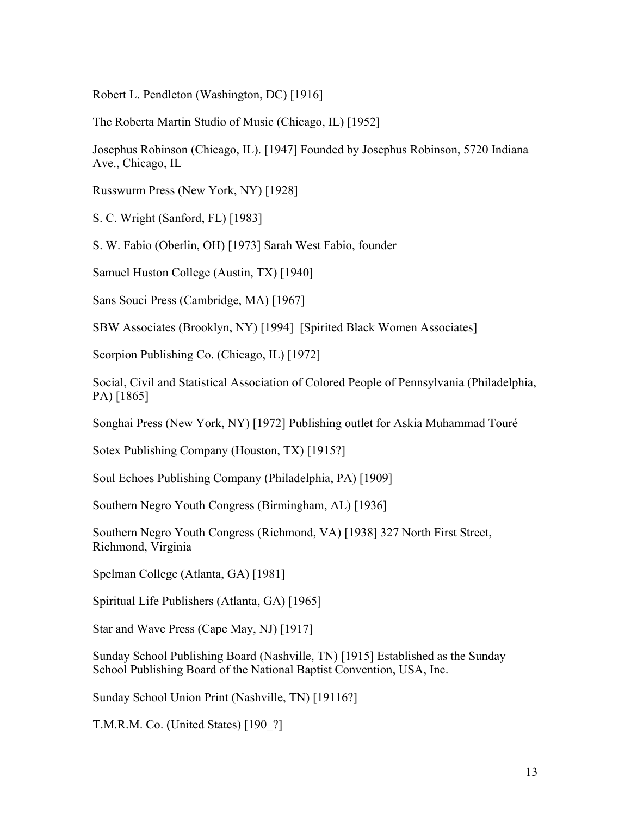Robert L. Pendleton (Washington, DC) [1916]

The Roberta Martin Studio of Music (Chicago, IL) [1952]

Josephus Robinson (Chicago, IL). [1947] Founded by Josephus Robinson, 5720 Indiana Ave., Chicago, IL

Russwurm Press (New York, NY) [1928]

S. C. Wright (Sanford, FL) [1983]

S. W. Fabio (Oberlin, OH) [1973] Sarah West Fabio, founder

Samuel Huston College (Austin, TX) [1940]

Sans Souci Press (Cambridge, MA) [1967]

SBW Associates (Brooklyn, NY) [1994] [Spirited Black Women Associates]

Scorpion Publishing Co. (Chicago, IL) [1972]

Social, Civil and Statistical Association of Colored People of Pennsylvania (Philadelphia, PA) [1865]

Songhai Press (New York, NY) [1972] Publishing outlet for Askia Muhammad Touré

Sotex Publishing Company (Houston, TX) [1915?]

Soul Echoes Publishing Company (Philadelphia, PA) [1909]

Southern Negro Youth Congress (Birmingham, AL) [1936]

Southern Negro Youth Congress (Richmond, VA) [1938] 327 North First Street, Richmond, Virginia

Spelman College (Atlanta, GA) [1981]

Spiritual Life Publishers (Atlanta, GA) [1965]

Star and Wave Press (Cape May, NJ) [1917]

Sunday School Publishing Board (Nashville, TN) [1915] Established as the Sunday School Publishing Board of the National Baptist Convention, USA, Inc.

Sunday School Union Print (Nashville, TN) [19116?]

T.M.R.M. Co. (United States) [190\_?]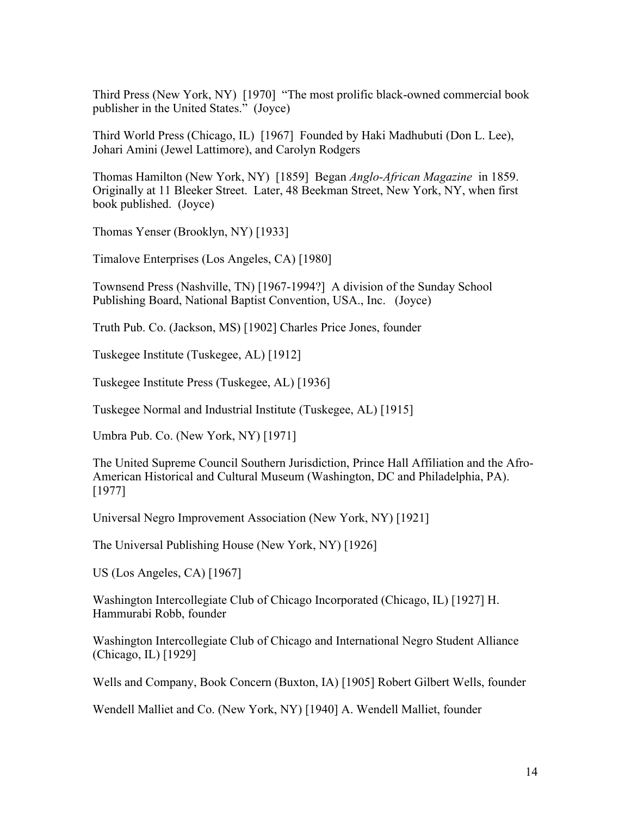Third Press (New York, NY) [1970] "The most prolific black-owned commercial book publisher in the United States." (Joyce)

Third World Press (Chicago, IL) [1967] Founded by Haki Madhubuti (Don L. Lee), Johari Amini (Jewel Lattimore), and Carolyn Rodgers

Thomas Hamilton (New York, NY) [1859] Began *Anglo-African Magazine* in 1859. Originally at 11 Bleeker Street. Later, 48 Beekman Street, New York, NY, when first book published. (Joyce)

Thomas Yenser (Brooklyn, NY) [1933]

Timalove Enterprises (Los Angeles, CA) [1980]

Townsend Press (Nashville, TN) [1967-1994?] A division of the Sunday School Publishing Board, National Baptist Convention, USA., Inc. (Joyce)

Truth Pub. Co. (Jackson, MS) [1902] Charles Price Jones, founder

Tuskegee Institute (Tuskegee, AL) [1912]

Tuskegee Institute Press (Tuskegee, AL) [1936]

Tuskegee Normal and Industrial Institute (Tuskegee, AL) [1915]

Umbra Pub. Co. (New York, NY) [1971]

The United Supreme Council Southern Jurisdiction, Prince Hall Affiliation and the Afro-American Historical and Cultural Museum (Washington, DC and Philadelphia, PA). [1977]

Universal Negro Improvement Association (New York, NY) [1921]

The Universal Publishing House (New York, NY) [1926]

US (Los Angeles, CA) [1967]

Washington Intercollegiate Club of Chicago Incorporated (Chicago, IL) [1927] H. Hammurabi Robb, founder

Washington Intercollegiate Club of Chicago and International Negro Student Alliance (Chicago, IL) [1929]

Wells and Company, Book Concern (Buxton, IA) [1905] Robert Gilbert Wells, founder

Wendell Malliet and Co. (New York, NY) [1940] A. Wendell Malliet, founder